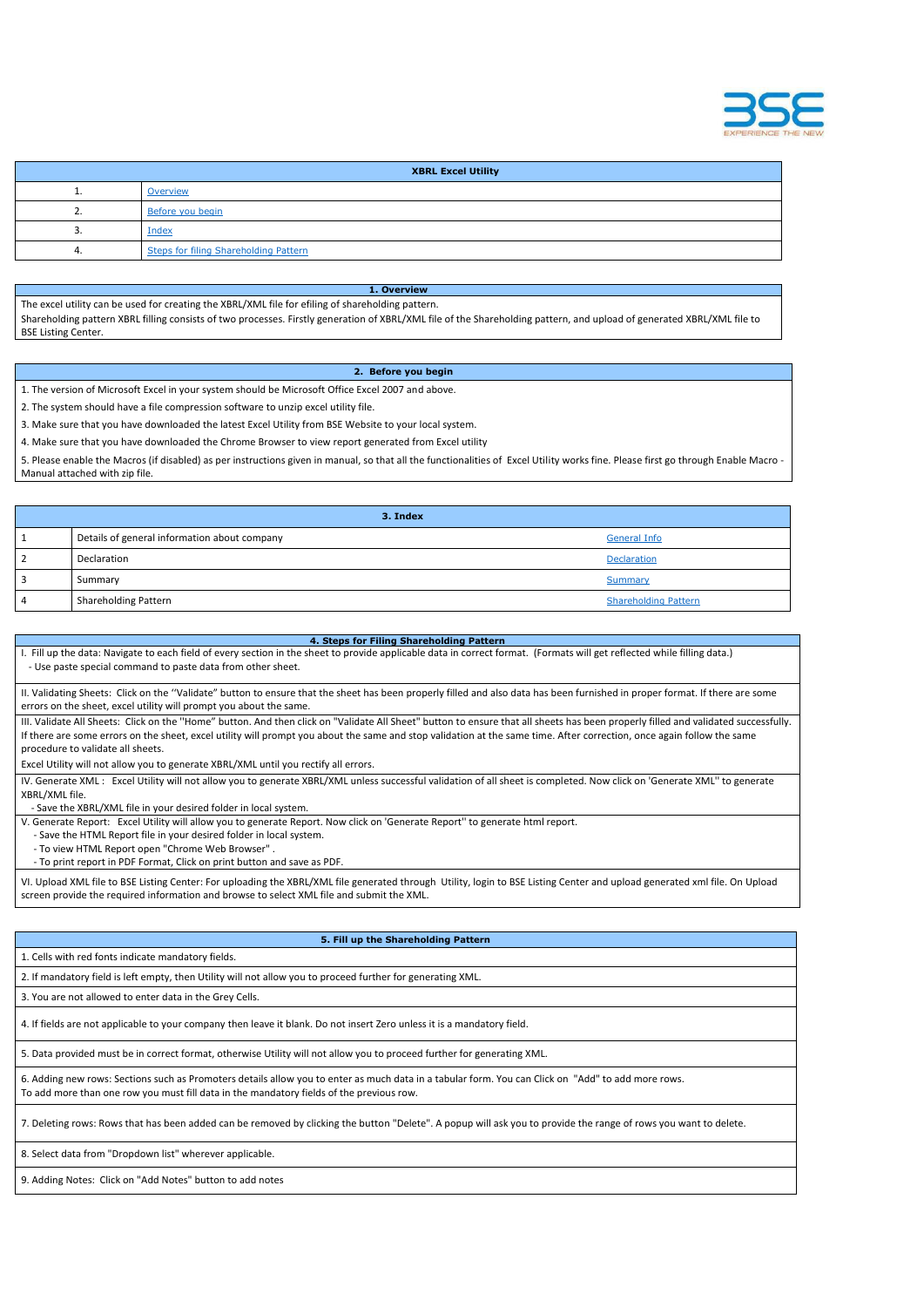

|          | <b>XBRL Excel Utility</b>             |
|----------|---------------------------------------|
| <b>.</b> | Overview                              |
| ـ ـ      | Before you begin                      |
|          | Index                                 |
|          | Steps for filing Shareholding Pattern |

**1. Overview** The excel utility can be used for creating the XBRL/XML file for efiling of shareholding pattern. Shareholding pattern XBRL filling consists of two processes. Firstly generation of XBRL/XML file of the Shareholding pattern, and upload of generated XBRL/XML file to BSE Listing Center.

## **2. Before you begin**

1. The version of Microsoft Excel in your system should be Microsoft Office Excel 2007 and above.

2. The system should have a file compression software to unzip excel utility file.

3. Make sure that you have downloaded the latest Excel Utility from BSE Website to your local system.

4. Make sure that you have downloaded the Chrome Browser to view report generated from Excel utility

II. Validating Sheets: Click on the "Validate" button to ensure that the sheet has been properly filled and also data has been furnished in proper format. If there are some errors on the sheet, excel utility will prompt you about the same.

5. Please enable the Macros (if disabled) as per instructions given in manual, so that all the functionalities of Excel Utility works fine. Please first go through Enable Macro - Manual attached with zip file.

III. Validate All Sheets: Click on the "Home" button. And then click on "Validate All Sheet" button to ensure that all sheets has been properly filled and validated successfully. If there are some errors on the sheet, excel utility will prompt you about the same and stop validation at the same time. After correction, once again follow the same procedure to validate all sheets.

| 3. Index                                     |                             |
|----------------------------------------------|-----------------------------|
| Details of general information about company | <b>General Info</b>         |
| Declaration                                  | Declaration                 |
| Summary                                      | Summary                     |
| <b>Shareholding Pattern</b>                  | <b>Shareholding Pattern</b> |

IV. Generate XML: Excel Utility will not allow you to generate XBRL/XML unless successful validation of all sheet is completed. Now click on 'Generate XML" to generate XBRL/XML file.

**4. Steps for Filing Shareholding Pattern** I. Fill up the data: Navigate to each field of every section in the sheet to provide applicable data in correct format. (Formats will get reflected while filling data.) - Use paste special command to paste data from other sheet.

Excel Utility will not allow you to generate XBRL/XML until you rectify all errors.

- Save the XBRL/XML file in your desired folder in local system.

V. Generate Report: Excel Utility will allow you to generate Report. Now click on 'Generate Report'' to generate html report.

- Save the HTML Report file in your desired folder in local system.

- To view HTML Report open "Chrome Web Browser" .

- To print report in PDF Format, Click on print button and save as PDF.

VI. Upload XML file to BSE Listing Center: For uploading the XBRL/XML file generated through Utility, login to BSE Listing Center and upload generated xml file. On Upload screen provide the required information and browse to select XML file and submit the XML.

## **5. Fill up the Shareholding Pattern**

1. Cells with red fonts indicate mandatory fields.

2. If mandatory field is left empty, then Utility will not allow you to proceed further for generating XML.

4. If fields are not applicable to your company then leave it blank. Do not insert Zero unless it is a mandatory field.

5. Data provided must be in correct format, otherwise Utility will not allow you to proceed further for generating XML.

6. Adding new rows: Sections such as Promoters details allow you to enter as much data in a tabular form. You can Click on "Add" to add more rows. To add more than one row you must fill data in the mandatory fields of the previous row.

7. Deleting rows: Rows that has been added can be removed by clicking the button "Delete". A popup will ask you to provide the range of rows you want to delete.

8. Select data from "Dropdown list" wherever applicable.

9. Adding Notes: Click on "Add Notes" button to add notes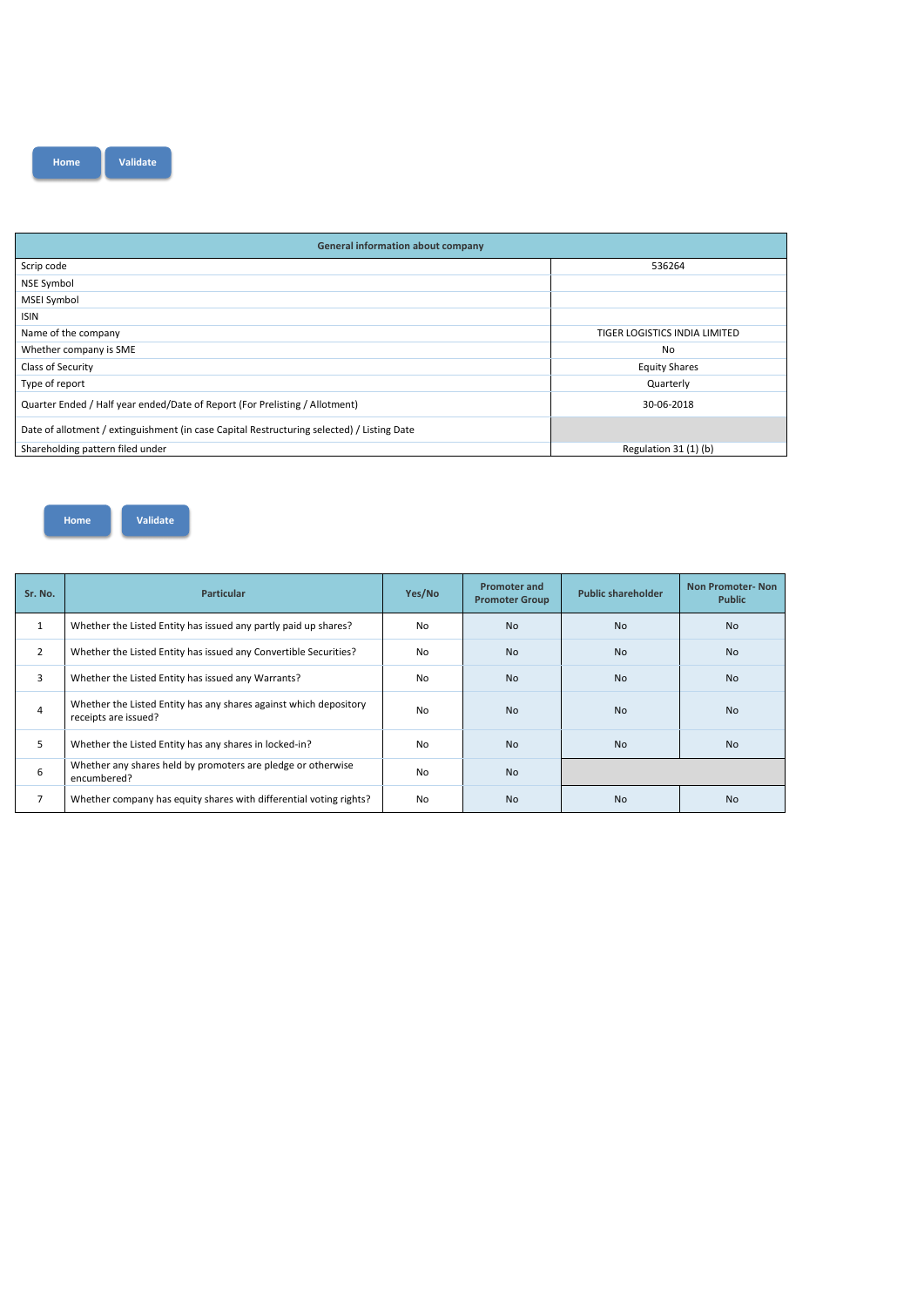| <b>General information about company</b>                                                   |                               |  |  |  |  |  |  |  |  |  |
|--------------------------------------------------------------------------------------------|-------------------------------|--|--|--|--|--|--|--|--|--|
| Scrip code                                                                                 | 536264                        |  |  |  |  |  |  |  |  |  |
| <b>NSE Symbol</b>                                                                          |                               |  |  |  |  |  |  |  |  |  |
| <b>MSEI Symbol</b>                                                                         |                               |  |  |  |  |  |  |  |  |  |
| <b>ISIN</b>                                                                                |                               |  |  |  |  |  |  |  |  |  |
| Name of the company                                                                        | TIGER LOGISTICS INDIA LIMITED |  |  |  |  |  |  |  |  |  |
| Whether company is SME                                                                     | No                            |  |  |  |  |  |  |  |  |  |
| Class of Security                                                                          | <b>Equity Shares</b>          |  |  |  |  |  |  |  |  |  |
| Type of report                                                                             | Quarterly                     |  |  |  |  |  |  |  |  |  |
| Quarter Ended / Half year ended/Date of Report (For Prelisting / Allotment)                | 30-06-2018                    |  |  |  |  |  |  |  |  |  |
| Date of allotment / extinguishment (in case Capital Restructuring selected) / Listing Date |                               |  |  |  |  |  |  |  |  |  |
| Shareholding pattern filed under                                                           | Regulation 31 (1) (b)         |  |  |  |  |  |  |  |  |  |

| Sr. No.        | <b>Particular</b>                                                                         | Yes/No         | <b>Promoter and</b><br><b>Promoter Group</b> | <b>Public shareholder</b> | <b>Non Promoter-Non</b><br><b>Public</b> |  |  |
|----------------|-------------------------------------------------------------------------------------------|----------------|----------------------------------------------|---------------------------|------------------------------------------|--|--|
| $\mathbf{1}$   | Whether the Listed Entity has issued any partly paid up shares?                           | N <sub>o</sub> | <b>No</b>                                    | N <sub>o</sub>            | <b>No</b>                                |  |  |
| $\overline{2}$ | Whether the Listed Entity has issued any Convertible Securities?                          | N <sub>o</sub> | <b>No</b>                                    | <b>No</b>                 | <b>No</b>                                |  |  |
| 3              | Whether the Listed Entity has issued any Warrants?                                        | N <sub>o</sub> | <b>No</b>                                    | <b>No</b>                 | <b>No</b>                                |  |  |
| 4              | Whether the Listed Entity has any shares against which depository<br>receipts are issued? | No             | <b>No</b>                                    | <b>No</b>                 | N <sub>o</sub>                           |  |  |
| 5              | Whether the Listed Entity has any shares in locked-in?                                    | N <sub>o</sub> | <b>No</b>                                    | <b>No</b>                 | <b>No</b>                                |  |  |
| 6              | Whether any shares held by promoters are pledge or otherwise<br>encumbered?               | <b>No</b>      | <b>No</b>                                    |                           |                                          |  |  |
| $\overline{ }$ | Whether company has equity shares with differential voting rights?                        | No             | <b>No</b>                                    | <b>No</b>                 | <b>No</b>                                |  |  |

**Home Validate**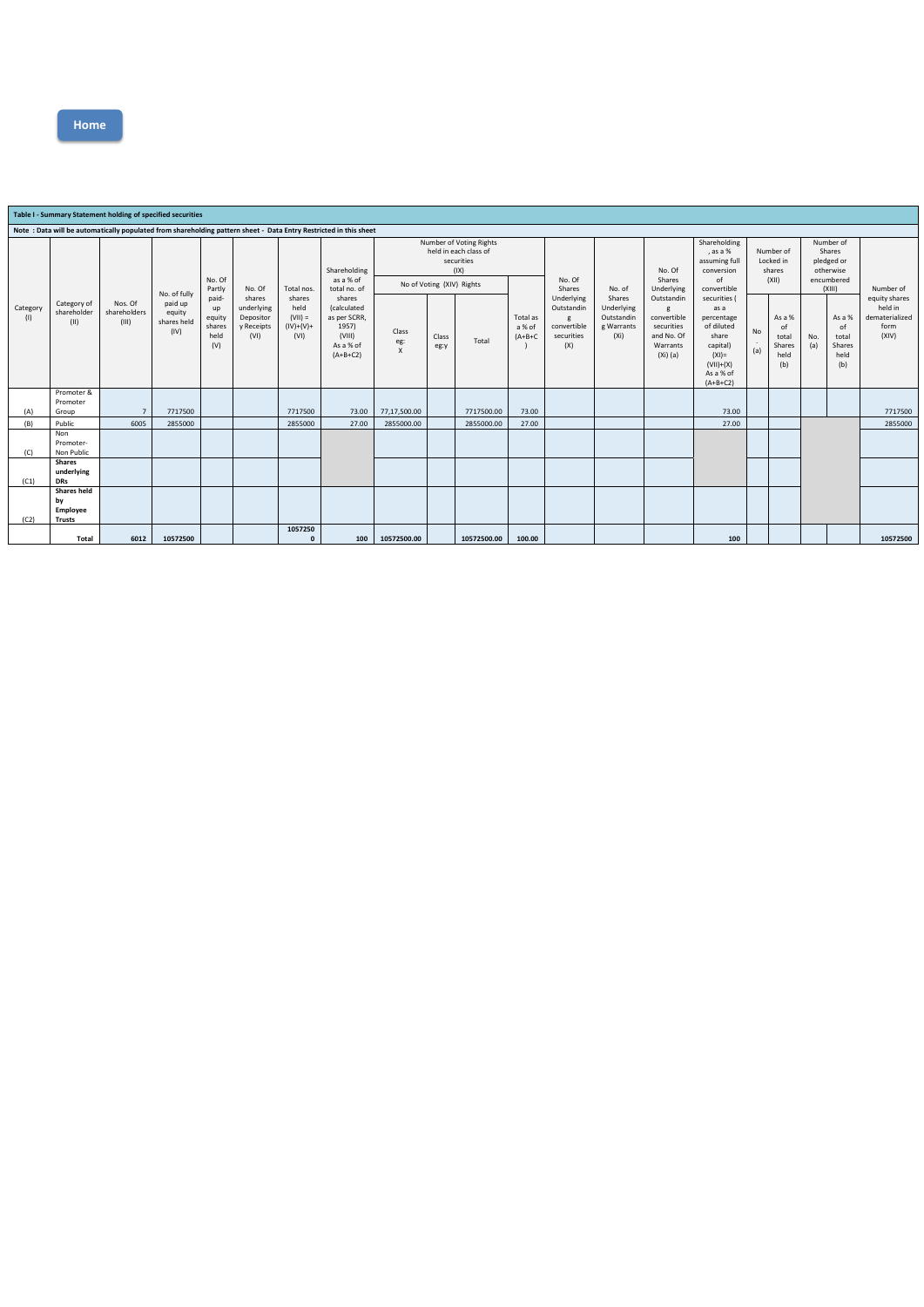## **Table I - Summary Statement holding of specified securities Note : Data will be automatically populated from shareholding pattern sheet - Data Entry Restricted in this sheet** Category (I) Category of shareholder (II) Nos. Of shareholders (III) No. of fully paid up equity shares held (IV) No. Of Partly paidup equity shares held (V) No. Of shares underlying Depositor y Receipts (VI) Total nos. shares held  $(VII) =$  $(IV)+(V)+$ (VI) Shareholding as a % of total no. of shares (calculated as per SCRR,  $1957$ (VIII) As a % of (A+B+C2) Number of Voting Rights held in each class of securities (IX) No. Of Shares Underlying Outstandin g convertible securities (X) No. of Shares Underlying Outstandin g Warrants (Xi) No. Of Shares Underlying Outstandin g convertible securities and No. Of Warrants (Xi) (a) Shareholding , as a % assuming full conversion of convertible securities ( as a percentage of diluted share capital) (XI)= (VII)+(X) As a % of (A+B+C2) Number of Locked in shares (XII) Number of Shares pledged or otherwise encumbered<br>(XIII) Number of equity shares held in dematerialized form (XIV) No of Voting (XIV) Rights Total as a % of (A+B+C ) Class eg: X Class eg:y Total No . (a) As a % of total Shares held (b) No. (a) As a % of total Shares held (b) (A) Promoter & Promoter<br>Group Group | 7 7717500 | 7717500 73.00 77,17,500.00 77,17,500.00 7717500.00 73.00 | 77107500 73.00 | 73.00 | 73.00 | (B) Public | 6005 2855000 | | 2855000 27.00 2855000.00 | 2855000.00 27.00 | | | | 285000 27.00 | | | | 2855000 (C) Non Promoter-Non Public (C1) **Shares underlying DRs** (C2) **Shares held by Employee Trusts Total 6012 10572500 1057250 0 100 10572500.00 10572500.00 100.00 100 10572500**